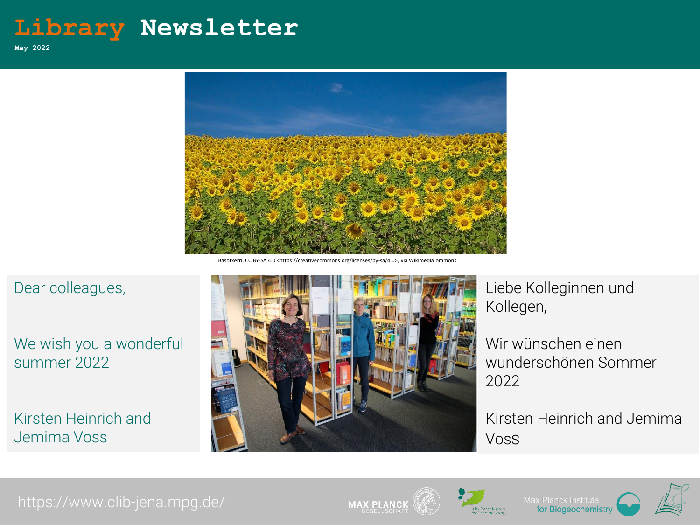# **Library Newsletter**

**May 2022**



Basotxerri, CC BY-SA 4.0 <https://creativecommons.org/licenses/by-sa/4.0>,

#### Dear colleagues,

#### We wish you a wonderful summer 2022

Kirsten Heinrich and Jemima Voss



Liebe Kolleginnen und Kollegen,

Wir wünschen einen wunderschönen Sommer 2022

Kirsten Heinrich and Jemima Voss

### https://www.clib-jena.mpg.de/









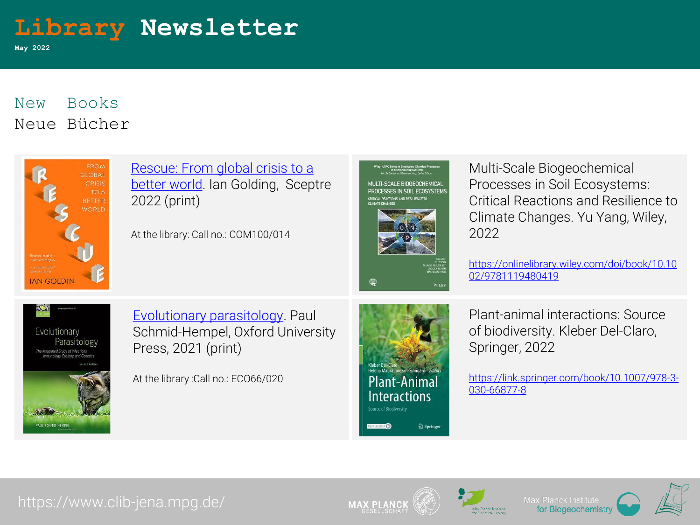

**May 2022**

## New Books Neue Bücher



Rescue: From global crisis to a better [world. Ian Golding, Scep](https://catalog.clib-jena.mpg.de/Record/JCB01000000000000000101166)tre 2022 (print)

At the library: Call no.: COM100/014



Multi‐Scale Biogeochemical Processes in Soil Ecosystems: Critical Reactions and Resilience to Climate Changes. Yu Yang, Wiley, 2022

[https://onlinelibrary.wiley.com/doi/book/10.10](https://onlinelibrary.wiley.com/doi/book/10.1002/9781119480419) 02/9781119480419



[Evolutionary parasitology.](https://catalog.clib-jena.mpg.de/Record/JCB01000000000000000101179) Paul Schmid-Hempel, Oxford University Press, 2021 (print)

At the library :Call no.: ECO66/020



Plant-animal interactions: Source of biodiversity. Kleber Del-Claro, Springer, 2022

[https://link.springer.com/book/10.1007/978-3-](https://link.springer.com/book/10.1007/978-3-030-66877-8) 030-66877-8

#### https://www.clib-jena.mpg.de/







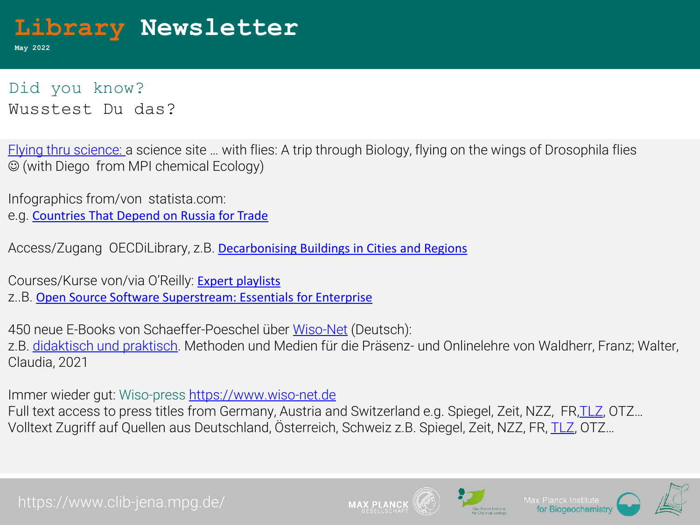

**May 2022**

Did you know? Wusstest Du das?

[Flying thru science:](https://sci-flies.com/) a science site … with flies: A trip through Biology, flying on the wings of Drosophila flies (with Diego from MPI chemical Ecology)

Infographics from/von statista.com:

e.g. [Countries That Depend on Russia for Trade](https://www.statista.com/chart/27367/countries-most-dependent-on-russia-for-trade/) 

Access/Zugang OECDiLibrary, z.B. Decarbonising [Buildings in Cities and Regions](https://doi.org/10.1787/a48ce566-en) 

Courses/Kurse von/via O'Reilly: [Expert playlists](https://learning.oreilly.com/search/?query=*&extended_publisher_data=true&highlight=true&include_assessments=false&include_case_studies=true&include_courses=true&include_playlists=true&include_collections=true&include_notebooks=true&include_sandboxes=true&include_scenarios=true&is_academic_institution_account=true&source=user&formats=collection&sort=date_added&facet_json=true&json_facets=true&page=0&collection_type=expert&include_facets=true&include_practice_exams=true) z..B. [Open Source Software Superstream: Essentials for Enterprise](https://learning.oreilly.com/playlists/0f844c90-29cf-439a-a688-208d55b1d4e5/)

450 neue E-Books von Schaeffer-Poeschel über [Wiso-Net](https://www.wiso-net.de/dosearch?_searchOnlyInAbstractField=&_searchOnlyInTitleField=&explicitSearch=true&q=&dbShortcut=%3A3%3AEBOOKS&searchMask=7092&TI%2CUT%2CDZ%2CBT%2COT%2CSL=&UT=&DZ=&KO=&AU%2CUR=&HG=&CT%2CZ4%2CKW=&AB%2CLD%2CAE=&IB%2CIS=&VE%2CIO%2CDO=Sch%C3%A4ffer*&YR_from=&YR_to=&x=98&y=17) (Deutsch):

z.B. [didaktisch und praktisch.](https://www.wiso-net.de/document/SPEB__9783791053080200/hitlist/0?all=) Methoden und Medien für die Präsenz- und Onlinelehre von Waldherr, Franz; Walter, Claudia, 2021

Immer wieder gut: Wiso-press [https://www.wiso-net.de](https://www.wiso-net.de/)

Full text access to press titles from Germany, Austria and Switzerland e.g. Spiegel, Zeit, NZZ, FR[,TLZ](https://www.wiso-net.de/dosearch/TLZ?selectedNavigationPath=%3A3%3APRESSE%7C%3A3%3APRESSEDTL), OTZ… Volltext Zugriff auf Quellen aus Deutschland, Österreich, Schweiz z.B. Spiegel, Zeit, NZZ, FR, [TLZ,](https://www.wiso-net.de/dosearch/TLZ?selectedNavigationPath=%3A3%3APRESSE%7C%3A3%3APRESSEDTL) OTZ…